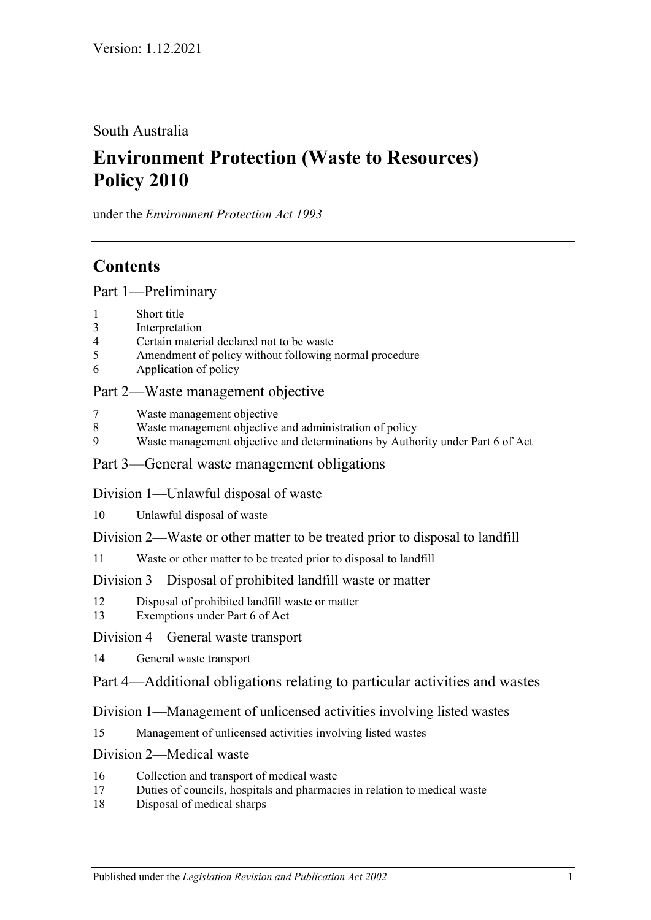South Australia

# **Environment Protection (Waste to Resources) Policy 2010**

under the *Environment Protection Act 1993*

## **Contents**

[Part 1—Preliminary](#page-1-0)

- 1 [Short title](#page-1-1)
- 3 [Interpretation](#page-1-2)
- 4 [Certain material declared not to be waste](#page-4-0)
- 5 [Amendment of policy without following normal procedure](#page-5-0)
- 6 [Application of policy](#page-6-0)

### [Part 2—Waste management objective](#page-6-1)

- 7 [Waste management objective](#page-6-2)
- 8 [Waste management objective and administration of policy](#page-6-3)
- 9 [Waste management objective and determinations by Authority under](#page-7-0) Part 6 of Act

#### [Part 3—General waste management obligations](#page-7-1)

[Division 1—Unlawful disposal of waste](#page-7-2)

- 10 [Unlawful disposal of waste](#page-7-3)
- [Division 2—Waste or other matter to be treated prior to disposal to landfill](#page-8-0)
- 11 [Waste or other matter to be treated prior to disposal to landfill](#page-8-1)

#### [Division 3—Disposal of prohibited landfill waste or matter](#page-9-0)

- 12 [Disposal of prohibited landfill waste or matter](#page-9-1)
- 13 [Exemptions under Part 6 of Act](#page-11-0)

#### [Division 4—General waste transport](#page-11-1)

14 [General waste transport](#page-11-2)

### [Part 4—Additional obligations relating to particular activities and wastes](#page-11-3)

### [Division 1—Management of unlicensed activities involving listed wastes](#page-11-4)

15 [Management of unlicensed activities involving listed wastes](#page-11-5)

#### [Division 2—Medical waste](#page-12-0)

- 16 [Collection and transport of medical waste](#page-12-1)
- 17 [Duties of councils, hospitals and pharmacies in relation to medical waste](#page-12-2)
- 18 [Disposal of medical sharps](#page-14-0)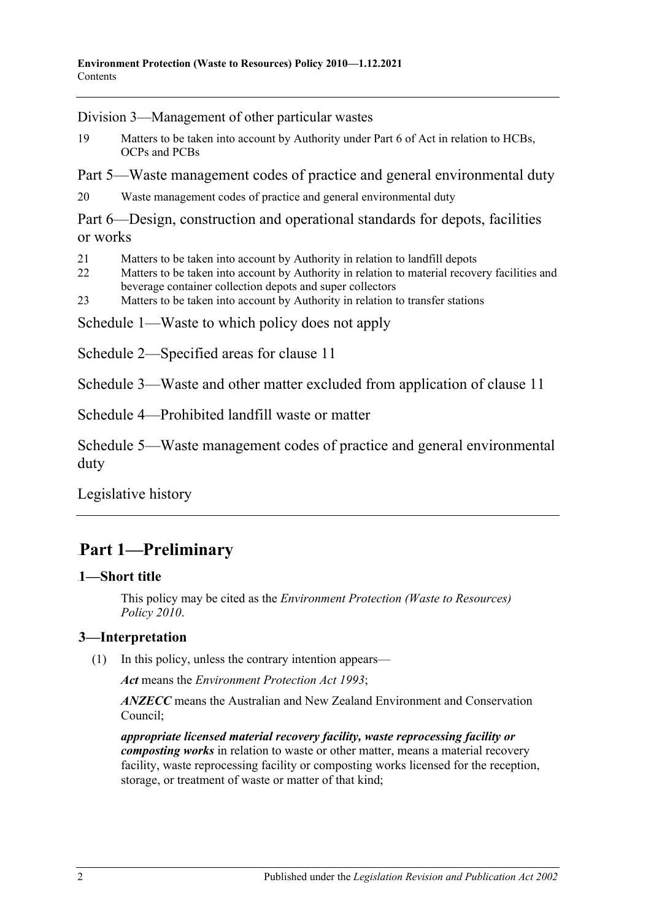[Division 3—Management of other particular wastes](#page-14-1)

19 [Matters to be taken into account by Authority under Part 6 of Act in relation to HCBs,](#page-14-2)  [OCPs and PCBs](#page-14-2)

[Part 5—Waste management codes of practice and general environmental duty](#page-15-0)

20 [Waste management codes of practice and general environmental duty](#page-15-1)

[Part 6—Design, construction and operational standards for depots, facilities](#page-16-0)  [or works](#page-16-0)

- 21 [Matters to be taken into account by Authority in relation to landfill depots](#page-16-1)
- 22 Matters to be taken into account by Authority in relation to material recovery facilities and [beverage container collection depots and super collectors](#page-16-2)
- 23 [Matters to be taken into account by Authority in relation to transfer stations](#page-16-3)

[Schedule 1—Waste to which policy does not apply](#page-17-0)

[Schedule 2—Specified areas for clause](#page-17-1) 11

[Schedule 3—Waste and other matter excluded from application of clause](#page-17-2) 11

[Schedule 4—Prohibited landfill waste or matter](#page-18-0)

[Schedule 5—Waste management codes of practice and general environmental](#page-20-0)  [duty](#page-20-0)

[Legislative history](#page-21-0)

## <span id="page-1-0"></span>30B**Part 1—Preliminary**

#### <span id="page-1-1"></span>0B**1—Short title**

This policy may be cited as the *[Environment Protection \(Waste to Resources\)](http://www.legislation.sa.gov.au/index.aspx?action=legref&type=subordleg&legtitle=Environment%20Protection%20(Waste%20to%20Resources)%20Policy%202010)  [Policy](http://www.legislation.sa.gov.au/index.aspx?action=legref&type=subordleg&legtitle=Environment%20Protection%20(Waste%20to%20Resources)%20Policy%202010) 2010*.

#### <span id="page-1-3"></span><span id="page-1-2"></span>1B**3—Interpretation**

(1) In this policy, unless the contrary intention appears—

*Act* means the *[Environment Protection Act](http://www.legislation.sa.gov.au/index.aspx?action=legref&type=act&legtitle=Environment%20Protection%20Act%201993) 1993*;

*ANZECC* means the Australian and New Zealand Environment and Conservation Council;

*appropriate licensed material recovery facility, waste reprocessing facility or composting works* in relation to waste or other matter, means a material recovery facility, waste reprocessing facility or composting works licensed for the reception, storage, or treatment of waste or matter of that kind;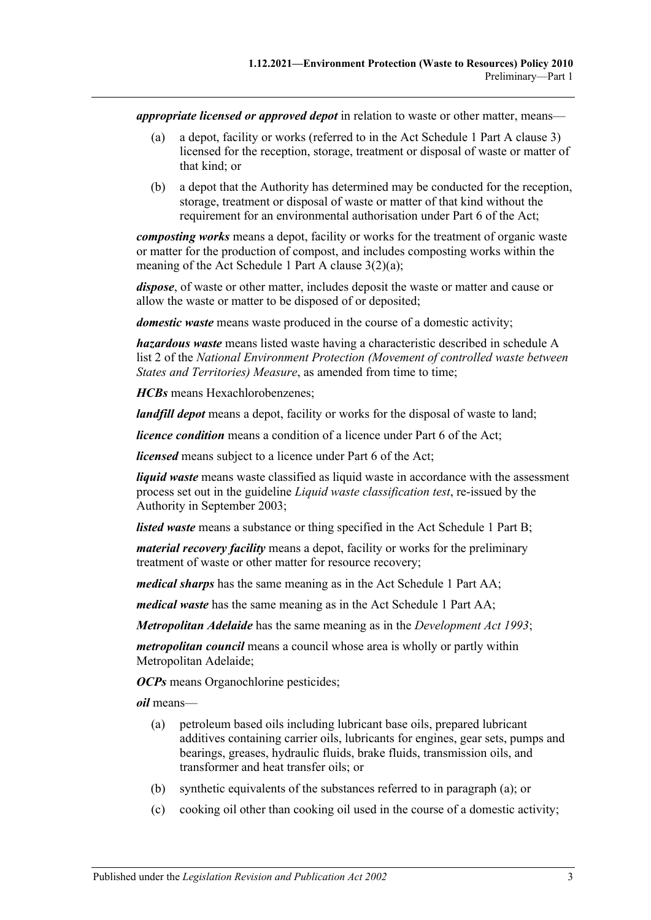*appropriate licensed or approved depot* in relation to waste or other matter, means—

- (a) a depot, facility or works (referred to in the Act Schedule 1 Part A clause 3) licensed for the reception, storage, treatment or disposal of waste or matter of that kind; or
- (b) a depot that the Authority has determined may be conducted for the reception, storage, treatment or disposal of waste or matter of that kind without the requirement for an environmental authorisation under Part 6 of the Act;

*composting works* means a depot, facility or works for the treatment of organic waste or matter for the production of compost, and includes composting works within the meaning of the Act Schedule 1 Part A clause 3(2)(a);

*dispose*, of waste or other matter, includes deposit the waste or matter and cause or allow the waste or matter to be disposed of or deposited;

*domestic waste* means waste produced in the course of a domestic activity;

*hazardous waste* means listed waste having a characteristic described in schedule A list 2 of the *National Environment Protection (Movement of controlled waste between States and Territories) Measure*, as amended from time to time;

*HCBs* means Hexachlorobenzenes;

*landfill depot* means a depot, facility or works for the disposal of waste to land;

*licence condition* means a condition of a licence under Part 6 of the Act;

*licensed* means subject to a licence under Part 6 of the Act;

*liquid waste* means waste classified as liquid waste in accordance with the assessment process set out in the guideline *Liquid waste classification test*, re-issued by the Authority in September 2003;

*listed waste* means a substance or thing specified in the Act Schedule 1 Part B;

*material recovery facility* means a depot, facility or works for the preliminary treatment of waste or other matter for resource recovery;

*medical sharps* has the same meaning as in the Act Schedule 1 Part AA;

*medical waste* has the same meaning as in the Act Schedule 1 Part AA;

*Metropolitan Adelaide* has the same meaning as in the *[Development Act](http://www.legislation.sa.gov.au/index.aspx?action=legref&type=act&legtitle=Development%20Act%201993) 1993*;

*metropolitan council* means a council whose area is wholly or partly within Metropolitan Adelaide;

*OCPs* means Organochlorine pesticides;

<span id="page-2-0"></span>*oil* means—

- (a) petroleum based oils including lubricant base oils, prepared lubricant additives containing carrier oils, lubricants for engines, gear sets, pumps and bearings, greases, hydraulic fluids, brake fluids, transmission oils, and transformer and heat transfer oils; or
- (b) synthetic equivalents of the substances referred to in [paragraph](#page-2-0) (a); or
- (c) cooking oil other than cooking oil used in the course of a domestic activity;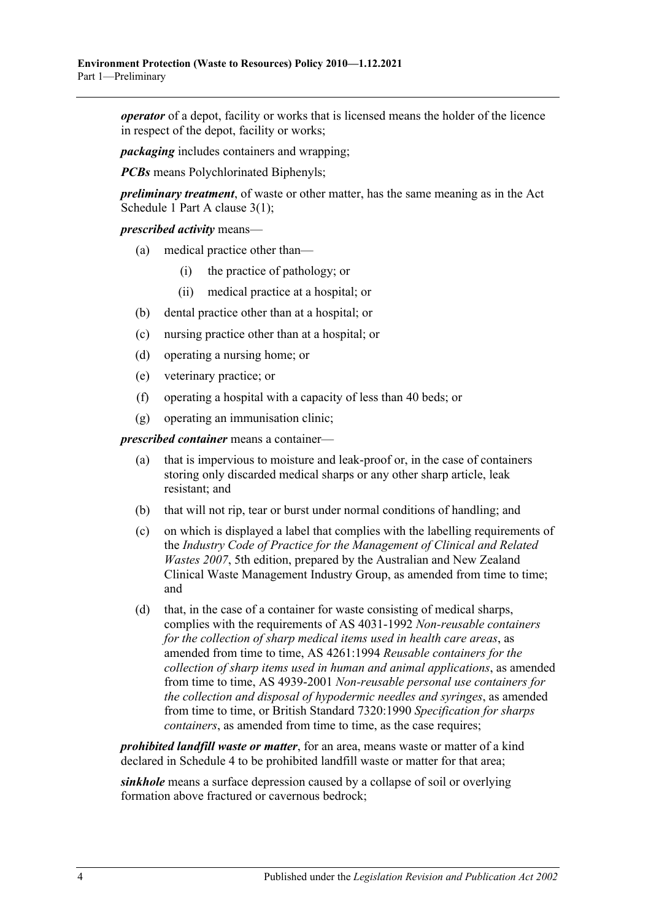*operator* of a depot, facility or works that is licensed means the holder of the licence in respect of the depot, facility or works;

*packaging* includes containers and wrapping;

*PCBs* means Polychlorinated Biphenyls;

*preliminary treatment*, of waste or other matter, has the same meaning as in the Act Schedule 1 Part A clause 3(1);

#### *prescribed activity* means—

- (a) medical practice other than—
	- (i) the practice of pathology; or
	- (ii) medical practice at a hospital; or
- (b) dental practice other than at a hospital; or
- (c) nursing practice other than at a hospital; or
- (d) operating a nursing home; or
- (e) veterinary practice; or
- (f) operating a hospital with a capacity of less than 40 beds; or
- (g) operating an immunisation clinic;

*prescribed container* means a container—

- (a) that is impervious to moisture and leak-proof or, in the case of containers storing only discarded medical sharps or any other sharp article, leak resistant; and
- (b) that will not rip, tear or burst under normal conditions of handling; and
- (c) on which is displayed a label that complies with the labelling requirements of the *Industry Code of Practice for the Management of Clinical and Related Wastes 2007*, 5th edition, prepared by the Australian and New Zealand Clinical Waste Management Industry Group, as amended from time to time; and
- (d) that, in the case of a container for waste consisting of medical sharps, complies with the requirements of AS 4031-1992 *Non-reusable containers for the collection of sharp medical items used in health care areas*, as amended from time to time, AS 4261:1994 *Reusable containers for the collection of sharp items used in human and animal applications*, as amended from time to time, AS 4939-2001 *Non-reusable personal use containers for the collection and disposal of hypodermic needles and syringes*, as amended from time to time, or British Standard 7320:1990 *Specification for sharps containers*, as amended from time to time, as the case requires;

*prohibited landfill waste or matter*, for an area, means waste or matter of a kind declared in [Schedule 4](#page-18-0) to be prohibited landfill waste or matter for that area;

*sinkhole* means a surface depression caused by a collapse of soil or overlying formation above fractured or cavernous bedrock;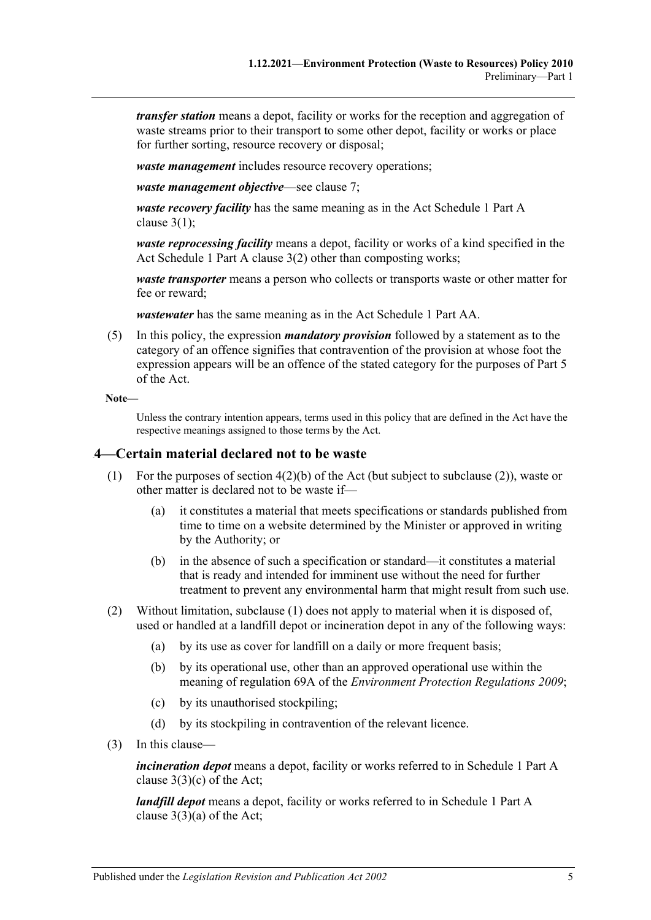*transfer station* means a depot, facility or works for the reception and aggregation of waste streams prior to their transport to some other depot, facility or works or place for further sorting, resource recovery or disposal;

*waste management* includes resource recovery operations;

*waste management objective*—see [clause](#page-6-2) 7;

*waste recovery facility* has the same meaning as in the Act Schedule 1 Part A clause  $3(1)$ ;

*waste reprocessing facility* means a depot, facility or works of a kind specified in the Act Schedule 1 Part A clause 3(2) other than composting works;

*waste transporter* means a person who collects or transports waste or other matter for fee or reward;

*wastewater* has the same meaning as in the Act Schedule 1 Part AA.

(5) In this policy, the expression *mandatory provision* followed by a statement as to the category of an offence signifies that contravention of the provision at whose foot the expression appears will be an offence of the stated category for the purposes of Part 5 of the Act.

```
Note—
```
Unless the contrary intention appears, terms used in this policy that are defined in the Act have the respective meanings assigned to those terms by the Act.

#### <span id="page-4-2"></span><span id="page-4-0"></span>2B**4—Certain material declared not to be waste**

- (1) For the purposes of section 4(2)(b) of the Act (but subject to [subclause](#page-4-1) (2)), waste or other matter is declared not to be waste if—
	- (a) it constitutes a material that meets specifications or standards published from time to time on a website determined by the Minister or approved in writing by the Authority; or
	- (b) in the absence of such a specification or standard—it constitutes a material that is ready and intended for imminent use without the need for further treatment to prevent any environmental harm that might result from such use.
- <span id="page-4-1"></span>(2) Without limitation, [subclause](#page-4-2) (1) does not apply to material when it is disposed of, used or handled at a landfill depot or incineration depot in any of the following ways:
	- (a) by its use as cover for landfill on a daily or more frequent basis;
	- (b) by its operational use, other than an approved operational use within the meaning of regulation 69A of the *[Environment Protection Regulations](http://www.legislation.sa.gov.au/index.aspx?action=legref&type=subordleg&legtitle=Environment%20Protection%20Regulations%202009) 2009*;
	- (c) by its unauthorised stockpiling;
	- (d) by its stockpiling in contravention of the relevant licence.
- (3) In this clause—

*incineration depot* means a depot, facility or works referred to in Schedule 1 Part A clause 3(3)(c) of the Act;

*landfill depot* means a depot, facility or works referred to in Schedule 1 Part A clause  $3(3)(a)$  of the Act;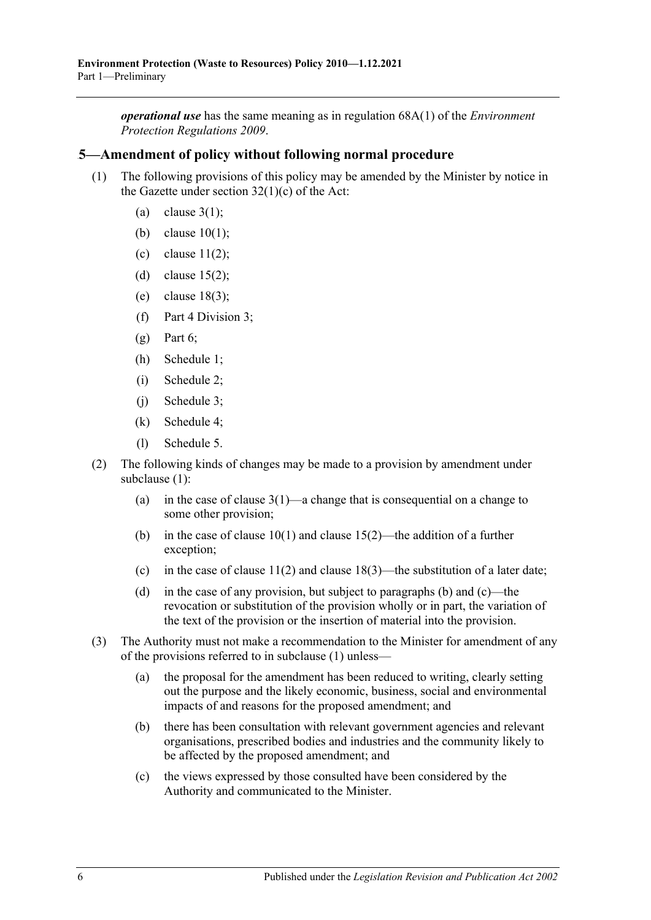*operational use* has the same meaning as in regulation 68A(1) of the *[Environment](http://www.legislation.sa.gov.au/index.aspx?action=legref&type=subordleg&legtitle=Environment%20Protection%20Regulations%202009)  [Protection Regulations](http://www.legislation.sa.gov.au/index.aspx?action=legref&type=subordleg&legtitle=Environment%20Protection%20Regulations%202009) 2009*.

#### <span id="page-5-1"></span><span id="page-5-0"></span>3B**5—Amendment of policy without following normal procedure**

- (1) The following provisions of this policy may be amended by the Minister by notice in the Gazette under section  $32(1)(c)$  of the Act:
	- (a) [clause](#page-1-3)  $3(1)$ ;
	- (b) [clause](#page-7-4) 10(1);
	- (c) clause  $11(2)$ ;
	- (d) [clause](#page-12-3)  $15(2)$ ;
	- (e) [clause](#page-14-3) 18(3);
	- (f) [Part 4 Division 3;](#page-14-1)
	- $(g)$  [Part 6;](#page-16-0)
	- (h) [Schedule 1;](#page-17-0)
	- (i) [Schedule 2;](#page-17-1)
	- (j) Schedule 3;
	- (k) [Schedule 4;](#page-18-0)
	- (l) [Schedule 5.](#page-20-0)
- <span id="page-5-2"></span>(2) The following kinds of changes may be made to a provision by amendment under [subclause](#page-5-1) (1):
	- (a) in the case of [clause](#page-1-3)  $3(1)$ —a change that is consequential on a change to some other provision;
	- (b) in the case of [clause](#page-12-3)  $10(1)$  and clause  $15(2)$ —the addition of a further exception;
	- (c) in the case of [clause](#page-14-3)  $11(2)$  and clause  $18(3)$ —the substitution of a later date;
	- (d) in the case of any provision, but subject to [paragraphs](#page-5-2) (b) and [\(c\)—](#page-5-3)the revocation or substitution of the provision wholly or in part, the variation of the text of the provision or the insertion of material into the provision.
- <span id="page-5-3"></span>(3) The Authority must not make a recommendation to the Minister for amendment of any of the provisions referred to in [subclause](#page-5-1) (1) unless—
	- (a) the proposal for the amendment has been reduced to writing, clearly setting out the purpose and the likely economic, business, social and environmental impacts of and reasons for the proposed amendment; and
	- (b) there has been consultation with relevant government agencies and relevant organisations, prescribed bodies and industries and the community likely to be affected by the proposed amendment; and
	- (c) the views expressed by those consulted have been considered by the Authority and communicated to the Minister.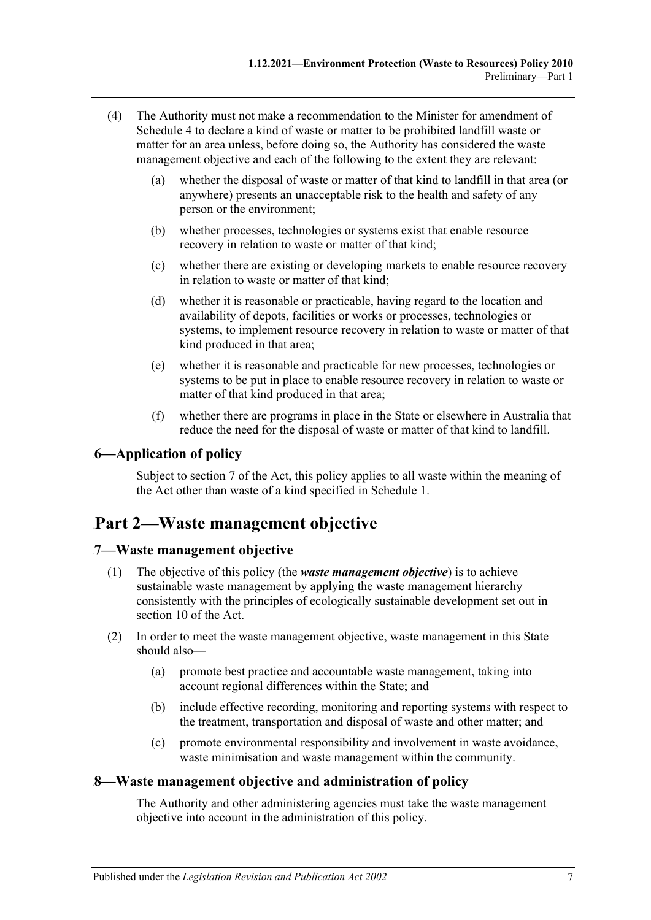- (4) The Authority must not make a recommendation to the Minister for amendment of [Schedule 4](#page-18-0) to declare a kind of waste or matter to be prohibited landfill waste or matter for an area unless, before doing so, the Authority has considered the waste management objective and each of the following to the extent they are relevant:
	- (a) whether the disposal of waste or matter of that kind to landfill in that area (or anywhere) presents an unacceptable risk to the health and safety of any person or the environment;
	- (b) whether processes, technologies or systems exist that enable resource recovery in relation to waste or matter of that kind;
	- (c) whether there are existing or developing markets to enable resource recovery in relation to waste or matter of that kind;
	- (d) whether it is reasonable or practicable, having regard to the location and availability of depots, facilities or works or processes, technologies or systems, to implement resource recovery in relation to waste or matter of that kind produced in that area;
	- (e) whether it is reasonable and practicable for new processes, technologies or systems to be put in place to enable resource recovery in relation to waste or matter of that kind produced in that area;
	- (f) whether there are programs in place in the State or elsewhere in Australia that reduce the need for the disposal of waste or matter of that kind to landfill.

#### <span id="page-6-0"></span>4B**6—Application of policy**

Subject to section 7 of the Act, this policy applies to all waste within the meaning of the Act other than waste of a kind specified in [Schedule 1.](#page-17-0)

## <span id="page-6-1"></span>31B**Part 2—Waste management objective**

#### <span id="page-6-2"></span>5B**7—Waste management objective**

- (1) The objective of this policy (the *waste management objective*) is to achieve sustainable waste management by applying the waste management hierarchy consistently with the principles of ecologically sustainable development set out in section 10 of the Act.
- (2) In order to meet the waste management objective, waste management in this State should also—
	- (a) promote best practice and accountable waste management, taking into account regional differences within the State; and
	- (b) include effective recording, monitoring and reporting systems with respect to the treatment, transportation and disposal of waste and other matter; and
	- (c) promote environmental responsibility and involvement in waste avoidance, waste minimisation and waste management within the community.

#### <span id="page-6-3"></span>6B**8—Waste management objective and administration of policy**

The Authority and other administering agencies must take the waste management objective into account in the administration of this policy.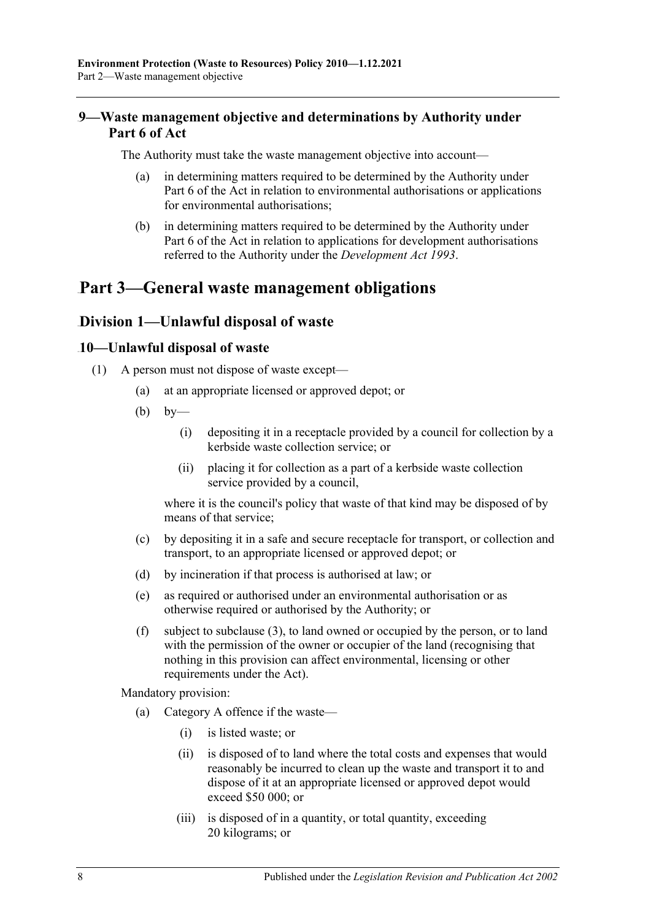### <span id="page-7-0"></span>7B**9—Waste management objective and determinations by Authority under Part 6 of Act**

The Authority must take the waste management objective into account—

- (a) in determining matters required to be determined by the Authority under Part 6 of the Act in relation to environmental authorisations or applications for environmental authorisations;
- (b) in determining matters required to be determined by the Authority under Part 6 of the Act in relation to applications for development authorisations referred to the Authority under the *[Development Act](http://www.legislation.sa.gov.au/index.aspx?action=legref&type=act&legtitle=Development%20Act%201993) 1993*.

## <span id="page-7-2"></span><span id="page-7-1"></span>32B**Part 3—General waste management obligations**

### 22B**Division 1—Unlawful disposal of waste**

#### <span id="page-7-4"></span><span id="page-7-3"></span>12B**10—Unlawful disposal of waste**

- <span id="page-7-5"></span>(1) A person must not dispose of waste except—
	- (a) at an appropriate licensed or approved depot; or
	- $(b)$  by—
		- (i) depositing it in a receptacle provided by a council for collection by a kerbside waste collection service; or
		- (ii) placing it for collection as a part of a kerbside waste collection service provided by a council,

where it is the council's policy that waste of that kind may be disposed of by means of that service;

- (c) by depositing it in a safe and secure receptacle for transport, or collection and transport, to an appropriate licensed or approved depot; or
- (d) by incineration if that process is authorised at law; or
- (e) as required or authorised under an environmental authorisation or as otherwise required or authorised by the Authority; or
- <span id="page-7-6"></span>(f) subject to [subclause](#page-8-2) (3), to land owned or occupied by the person, or to land with the permission of the owner or occupier of the land (recognising that nothing in this provision can affect environmental, licensing or other requirements under the Act).

Mandatory provision:

- (a) Category A offence if the waste—
	- (i) is listed waste; or
	- (ii) is disposed of to land where the total costs and expenses that would reasonably be incurred to clean up the waste and transport it to and dispose of it at an appropriate licensed or approved depot would exceed \$50 000; or
	- (iii) is disposed of in a quantity, or total quantity, exceeding 20 kilograms; or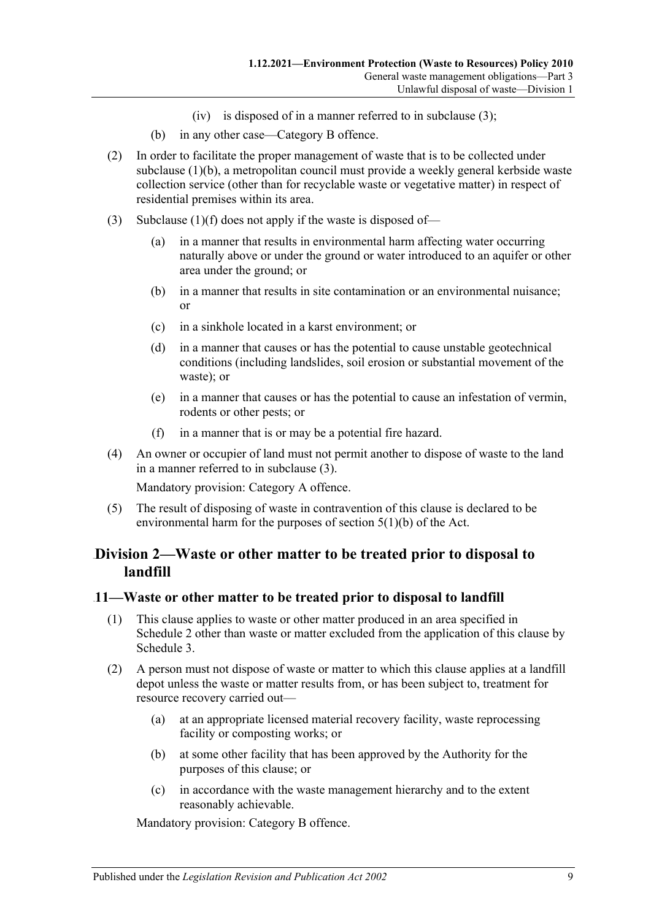- (iv) is disposed of in a manner referred to in [subclause](#page-8-2) (3);
- (b) in any other case—Category B offence.
- (2) In order to facilitate the proper management of waste that is to be collected under [subclause](#page-7-5) (1)(b), a metropolitan council must provide a weekly general kerbside waste collection service (other than for recyclable waste or vegetative matter) in respect of residential premises within its area.
- <span id="page-8-2"></span>(3) [Subclause](#page-7-6)  $(1)(f)$  does not apply if the waste is disposed of-
	- (a) in a manner that results in environmental harm affecting water occurring naturally above or under the ground or water introduced to an aquifer or other area under the ground; or
	- (b) in a manner that results in site contamination or an environmental nuisance; or
	- (c) in a sinkhole located in a karst environment; or
	- (d) in a manner that causes or has the potential to cause unstable geotechnical conditions (including landslides, soil erosion or substantial movement of the waste); or
	- (e) in a manner that causes or has the potential to cause an infestation of vermin, rodents or other pests; or
	- (f) in a manner that is or may be a potential fire hazard.
- (4) An owner or occupier of land must not permit another to dispose of waste to the land in a manner referred to in [subclause](#page-8-2) (3).

Mandatory provision: Category A offence.

(5) The result of disposing of waste in contravention of this clause is declared to be environmental harm for the purposes of section 5(1)(b) of the Act.

### <span id="page-8-0"></span>23B**Division 2—Waste or other matter to be treated prior to disposal to landfill**

#### <span id="page-8-1"></span>13B**11—Waste or other matter to be treated prior to disposal to landfill**

- (1) This clause applies to waste or other matter produced in an area specified in [Schedule](#page-17-1) 2 other than waste or matter excluded from the application of this clause by [Schedule](#page-17-2) 3.
- <span id="page-8-3"></span>(2) A person must not dispose of waste or matter to which this clause applies at a landfill depot unless the waste or matter results from, or has been subject to, treatment for resource recovery carried out—
	- (a) at an appropriate licensed material recovery facility, waste reprocessing facility or composting works; or
	- (b) at some other facility that has been approved by the Authority for the purposes of this clause; or
	- (c) in accordance with the waste management hierarchy and to the extent reasonably achievable.

Mandatory provision: Category B offence.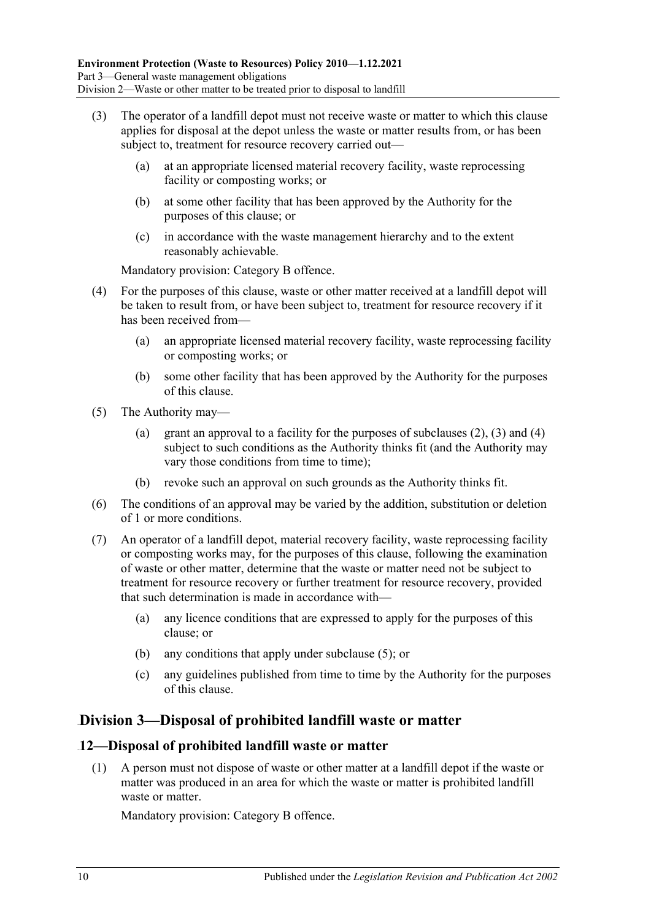- <span id="page-9-2"></span>(3) The operator of a landfill depot must not receive waste or matter to which this clause applies for disposal at the depot unless the waste or matter results from, or has been subject to, treatment for resource recovery carried out—
	- (a) at an appropriate licensed material recovery facility, waste reprocessing facility or composting works; or
	- (b) at some other facility that has been approved by the Authority for the purposes of this clause; or
	- (c) in accordance with the waste management hierarchy and to the extent reasonably achievable.

Mandatory provision: Category B offence.

- <span id="page-9-3"></span>(4) For the purposes of this clause, waste or other matter received at a landfill depot will be taken to result from, or have been subject to, treatment for resource recovery if it has been received from—
	- (a) an appropriate licensed material recovery facility, waste reprocessing facility or composting works; or
	- (b) some other facility that has been approved by the Authority for the purposes of this clause.
- <span id="page-9-4"></span>(5) The Authority may
	- (a) grant an approval to a facility for the purposes of [subclauses](#page-8-3)  $(2)$ ,  $(3)$  and  $(4)$ subject to such conditions as the Authority thinks fit (and the Authority may vary those conditions from time to time);
	- (b) revoke such an approval on such grounds as the Authority thinks fit.
- (6) The conditions of an approval may be varied by the addition, substitution or deletion of 1 or more conditions.
- (7) An operator of a landfill depot, material recovery facility, waste reprocessing facility or composting works may, for the purposes of this clause, following the examination of waste or other matter, determine that the waste or matter need not be subject to treatment for resource recovery or further treatment for resource recovery, provided that such determination is made in accordance with—
	- (a) any licence conditions that are expressed to apply for the purposes of this clause; or
	- (b) any conditions that apply under [subclause](#page-9-4) (5); or
	- (c) any guidelines published from time to time by the Authority for the purposes of this clause.

## <span id="page-9-0"></span>24B**Division 3—Disposal of prohibited landfill waste or matter**

### <span id="page-9-1"></span>14B**12—Disposal of prohibited landfill waste or matter**

(1) A person must not dispose of waste or other matter at a landfill depot if the waste or matter was produced in an area for which the waste or matter is prohibited landfill waste or matter.

Mandatory provision: Category B offence.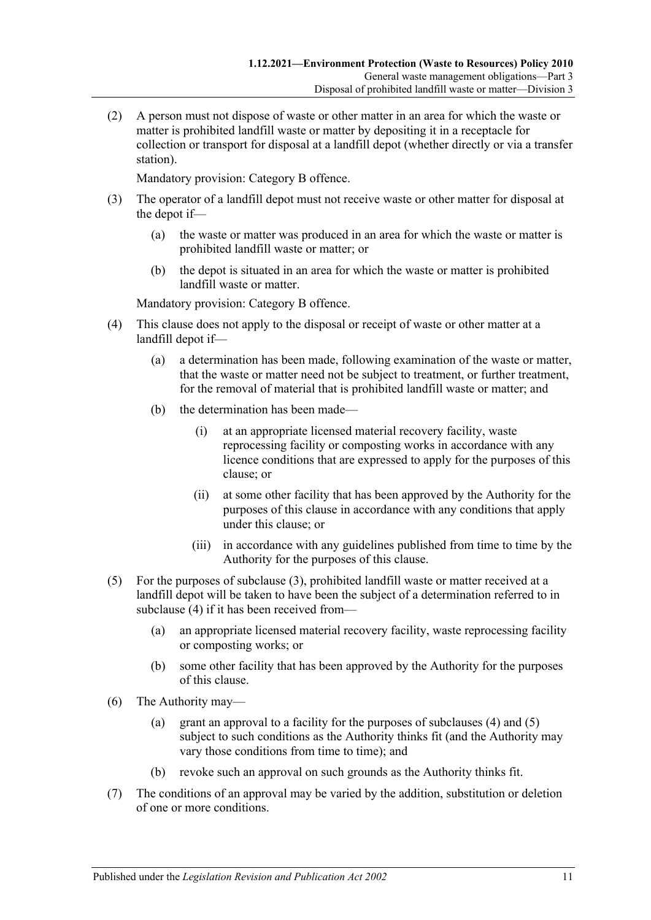(2) A person must not dispose of waste or other matter in an area for which the waste or matter is prohibited landfill waste or matter by depositing it in a receptacle for collection or transport for disposal at a landfill depot (whether directly or via a transfer station).

Mandatory provision: Category B offence.

- <span id="page-10-0"></span>(3) The operator of a landfill depot must not receive waste or other matter for disposal at the depot if—
	- (a) the waste or matter was produced in an area for which the waste or matter is prohibited landfill waste or matter; or
	- (b) the depot is situated in an area for which the waste or matter is prohibited landfill waste or matter.

Mandatory provision: Category B offence.

- <span id="page-10-1"></span>(4) This clause does not apply to the disposal or receipt of waste or other matter at a landfill depot if—
	- (a) a determination has been made, following examination of the waste or matter, that the waste or matter need not be subject to treatment, or further treatment, for the removal of material that is prohibited landfill waste or matter; and
	- (b) the determination has been made—
		- (i) at an appropriate licensed material recovery facility, waste reprocessing facility or composting works in accordance with any licence conditions that are expressed to apply for the purposes of this clause; or
		- (ii) at some other facility that has been approved by the Authority for the purposes of this clause in accordance with any conditions that apply under this clause; or
		- (iii) in accordance with any guidelines published from time to time by the Authority for the purposes of this clause.
- <span id="page-10-2"></span>(5) For the purposes of [subclause](#page-10-0) (3), prohibited landfill waste or matter received at a landfill depot will be taken to have been the subject of a determination referred to in [subclause](#page-10-1) (4) if it has been received from—
	- (a) an appropriate licensed material recovery facility, waste reprocessing facility or composting works; or
	- (b) some other facility that has been approved by the Authority for the purposes of this clause.
- (6) The Authority may—
	- (a) grant an approval to a facility for the purposes of [subclauses](#page-10-1) (4) and [\(5\)](#page-10-2) subject to such conditions as the Authority thinks fit (and the Authority may vary those conditions from time to time); and
	- (b) revoke such an approval on such grounds as the Authority thinks fit.
- (7) The conditions of an approval may be varied by the addition, substitution or deletion of one or more conditions.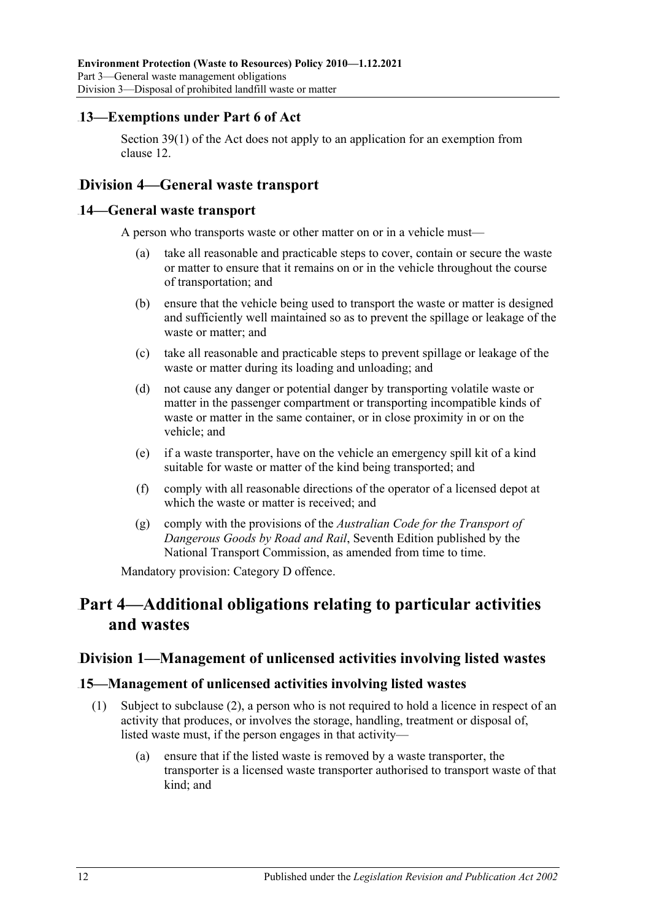### <span id="page-11-0"></span>15B**13—Exemptions under Part 6 of Act**

Section 39(1) of the Act does not apply to an application for an exemption from clause 12.

## <span id="page-11-1"></span>25B**Division 4—General waste transport**

#### <span id="page-11-2"></span>14—General waste transport

A person who transports waste or other matter on or in a vehicle must—

- (a) take all reasonable and practicable steps to cover, contain or secure the waste or matter to ensure that it remains on or in the vehicle throughout the course of transportation; and
- (b) ensure that the vehicle being used to transport the waste or matter is designed and sufficiently well maintained so as to prevent the spillage or leakage of the waste or matter; and
- (c) take all reasonable and practicable steps to prevent spillage or leakage of the waste or matter during its loading and unloading; and
- (d) not cause any danger or potential danger by transporting volatile waste or matter in the passenger compartment or transporting incompatible kinds of waste or matter in the same container, or in close proximity in or on the vehicle; and
- (e) if a waste transporter, have on the vehicle an emergency spill kit of a kind suitable for waste or matter of the kind being transported; and
- (f) comply with all reasonable directions of the operator of a licensed depot at which the waste or matter is received; and
- (g) comply with the provisions of the *Australian Code for the Transport of Dangerous Goods by Road and Rail*, Seventh Edition published by the National Transport Commission, as amended from time to time.

Mandatory provision: Category D offence.

## <span id="page-11-3"></span>33B**Part 4—Additional obligations relating to particular activities and wastes**

#### <span id="page-11-4"></span>26B**Division 1—Management of unlicensed activities involving listed wastes**

#### <span id="page-11-6"></span><span id="page-11-5"></span>17B**15—Management of unlicensed activities involving listed wastes**

- (1) Subject to [subclause](#page-12-3) (2), a person who is not required to hold a licence in respect of an activity that produces, or involves the storage, handling, treatment or disposal of, listed waste must, if the person engages in that activity—
	- (a) ensure that if the listed waste is removed by a waste transporter, the transporter is a licensed waste transporter authorised to transport waste of that kind; and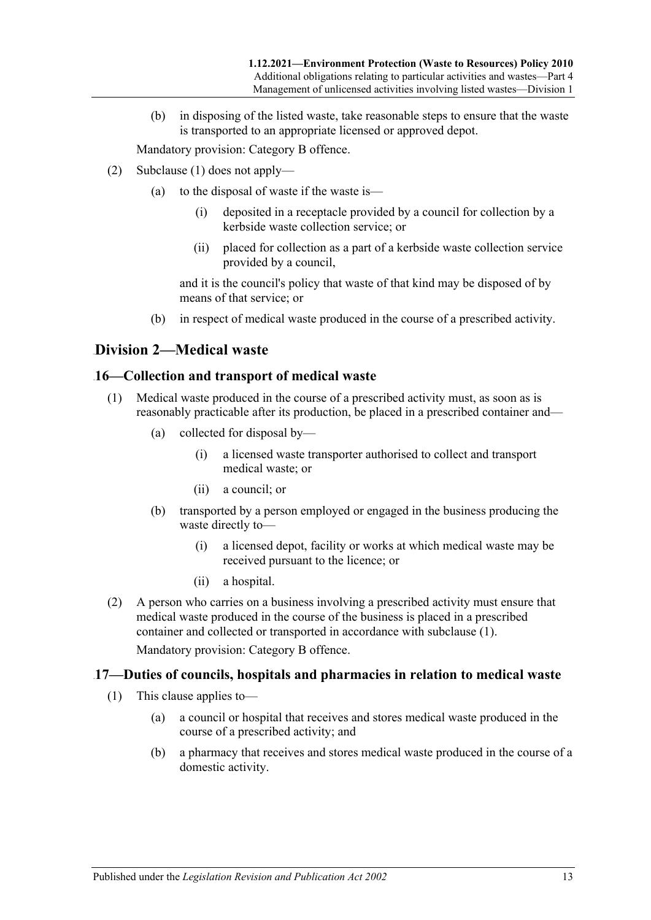(b) in disposing of the listed waste, take reasonable steps to ensure that the waste is transported to an appropriate licensed or approved depot.

Mandatory provision: Category B offence.

- <span id="page-12-3"></span>(2) [Subclause](#page-11-6) (1) does not apply—
	- (a) to the disposal of waste if the waste is—
		- (i) deposited in a receptacle provided by a council for collection by a kerbside waste collection service; or
		- (ii) placed for collection as a part of a kerbside waste collection service provided by a council,

and it is the council's policy that waste of that kind may be disposed of by means of that service; or

(b) in respect of medical waste produced in the course of a prescribed activity.

### <span id="page-12-0"></span>27B**Division 2—Medical waste**

#### <span id="page-12-4"></span><span id="page-12-1"></span>18B**16—Collection and transport of medical waste**

- (1) Medical waste produced in the course of a prescribed activity must, as soon as is reasonably practicable after its production, be placed in a prescribed container and—
	- (a) collected for disposal by—
		- (i) a licensed waste transporter authorised to collect and transport medical waste; or
		- (ii) a council; or
	- (b) transported by a person employed or engaged in the business producing the waste directly to—
		- (i) a licensed depot, facility or works at which medical waste may be received pursuant to the licence; or
		- (ii) a hospital.
- (2) A person who carries on a business involving a prescribed activity must ensure that medical waste produced in the course of the business is placed in a prescribed container and collected or transported in accordance with [subclause](#page-12-4) (1).

Mandatory provision: Category B offence.

#### <span id="page-12-2"></span>19B**17—Duties of councils, hospitals and pharmacies in relation to medical waste**

- (1) This clause applies to—
	- (a) a council or hospital that receives and stores medical waste produced in the course of a prescribed activity; and
	- (b) a pharmacy that receives and stores medical waste produced in the course of a domestic activity.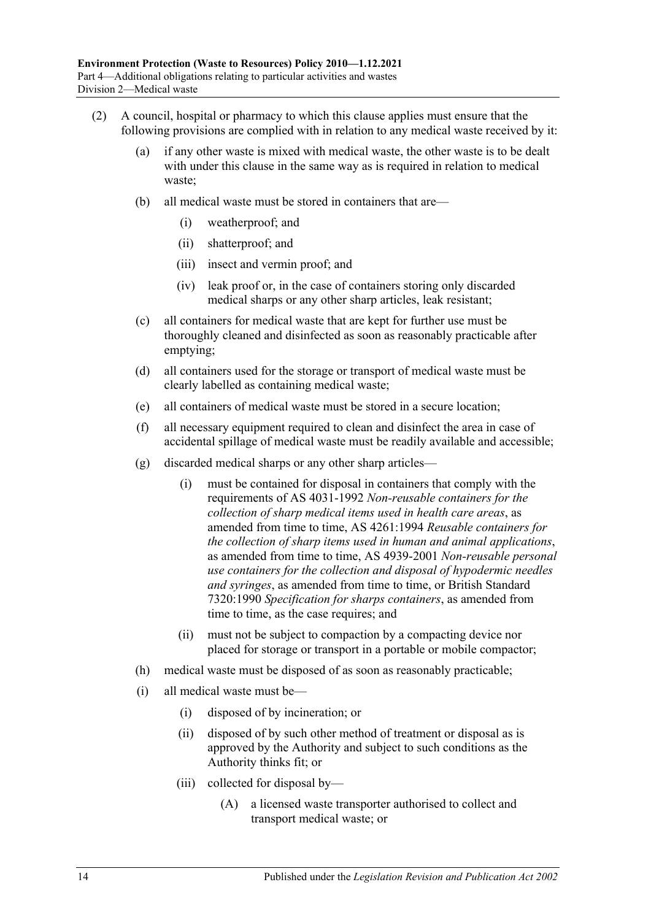- (2) A council, hospital or pharmacy to which this clause applies must ensure that the following provisions are complied with in relation to any medical waste received by it:
	- (a) if any other waste is mixed with medical waste, the other waste is to be dealt with under this clause in the same way as is required in relation to medical waste;
	- (b) all medical waste must be stored in containers that are—
		- (i) weatherproof; and
		- (ii) shatterproof; and
		- (iii) insect and vermin proof; and
		- (iv) leak proof or, in the case of containers storing only discarded medical sharps or any other sharp articles, leak resistant;
	- (c) all containers for medical waste that are kept for further use must be thoroughly cleaned and disinfected as soon as reasonably practicable after emptying;
	- (d) all containers used for the storage or transport of medical waste must be clearly labelled as containing medical waste;
	- (e) all containers of medical waste must be stored in a secure location;
	- (f) all necessary equipment required to clean and disinfect the area in case of accidental spillage of medical waste must be readily available and accessible;
	- (g) discarded medical sharps or any other sharp articles—
		- (i) must be contained for disposal in containers that comply with the requirements of AS 4031-1992 *Non-reusable containers for the collection of sharp medical items used in health care areas*, as amended from time to time, AS 4261:1994 *Reusable containers for the collection of sharp items used in human and animal applications*, as amended from time to time, AS 4939-2001 *Non-reusable personal use containers for the collection and disposal of hypodermic needles and syringes*, as amended from time to time, or British Standard 7320:1990 *Specification for sharps containers*, as amended from time to time, as the case requires; and
		- (ii) must not be subject to compaction by a compacting device nor placed for storage or transport in a portable or mobile compactor;
	- (h) medical waste must be disposed of as soon as reasonably practicable;
	- (i) all medical waste must be—
		- (i) disposed of by incineration; or
		- (ii) disposed of by such other method of treatment or disposal as is approved by the Authority and subject to such conditions as the Authority thinks fit; or
		- (iii) collected for disposal by—
			- (A) a licensed waste transporter authorised to collect and transport medical waste; or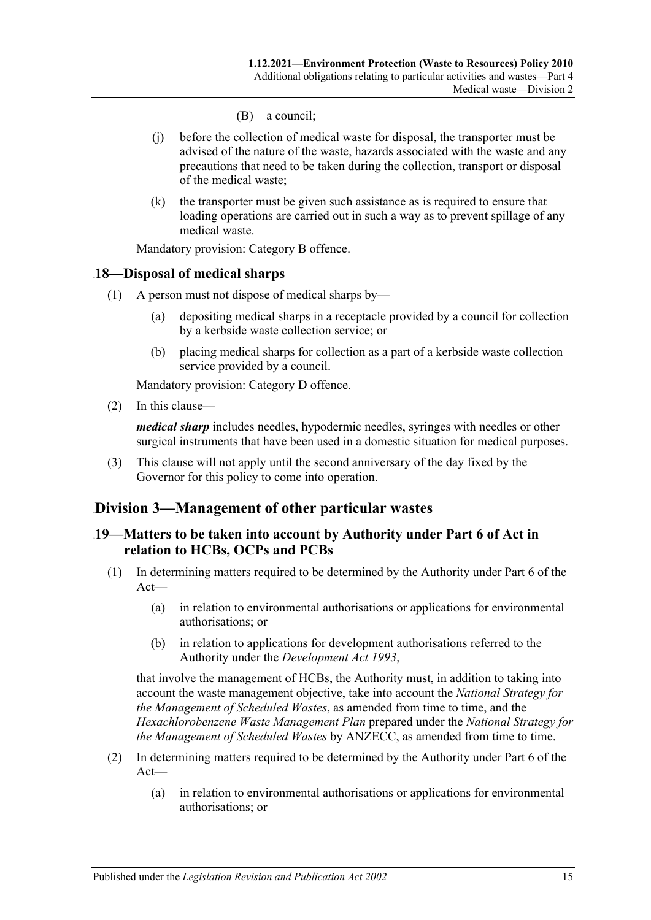- (B) a council;
- (j) before the collection of medical waste for disposal, the transporter must be advised of the nature of the waste, hazards associated with the waste and any precautions that need to be taken during the collection, transport or disposal of the medical waste;
- (k) the transporter must be given such assistance as is required to ensure that loading operations are carried out in such a way as to prevent spillage of any medical waste.

Mandatory provision: Category B offence.

#### <span id="page-14-0"></span>20B**18—Disposal of medical sharps**

- (1) A person must not dispose of medical sharps by—
	- (a) depositing medical sharps in a receptacle provided by a council for collection by a kerbside waste collection service; or
	- (b) placing medical sharps for collection as a part of a kerbside waste collection service provided by a council.

Mandatory provision: Category D offence.

(2) In this clause—

*medical sharp* includes needles, hypodermic needles, syringes with needles or other surgical instruments that have been used in a domestic situation for medical purposes.

<span id="page-14-3"></span>(3) This clause will not apply until the second anniversary of the day fixed by the Governor for this policy to come into operation.

### <span id="page-14-1"></span>28B**Division 3—Management of other particular wastes**

#### <span id="page-14-2"></span>21B**19—Matters to be taken into account by Authority under Part 6 of Act in relation to HCBs, OCPs and PCBs**

- (1) In determining matters required to be determined by the Authority under Part 6 of the Act—
	- (a) in relation to environmental authorisations or applications for environmental authorisations; or
	- (b) in relation to applications for development authorisations referred to the Authority under the *[Development Act](http://www.legislation.sa.gov.au/index.aspx?action=legref&type=act&legtitle=Development%20Act%201993) 1993*,

that involve the management of HCBs, the Authority must, in addition to taking into account the waste management objective, take into account the *National Strategy for the Management of Scheduled Wastes*, as amended from time to time, and the *Hexachlorobenzene Waste Management Plan* prepared under the *National Strategy for the Management of Scheduled Wastes* by ANZECC, as amended from time to time.

- (2) In determining matters required to be determined by the Authority under Part 6 of the Act—
	- (a) in relation to environmental authorisations or applications for environmental authorisations; or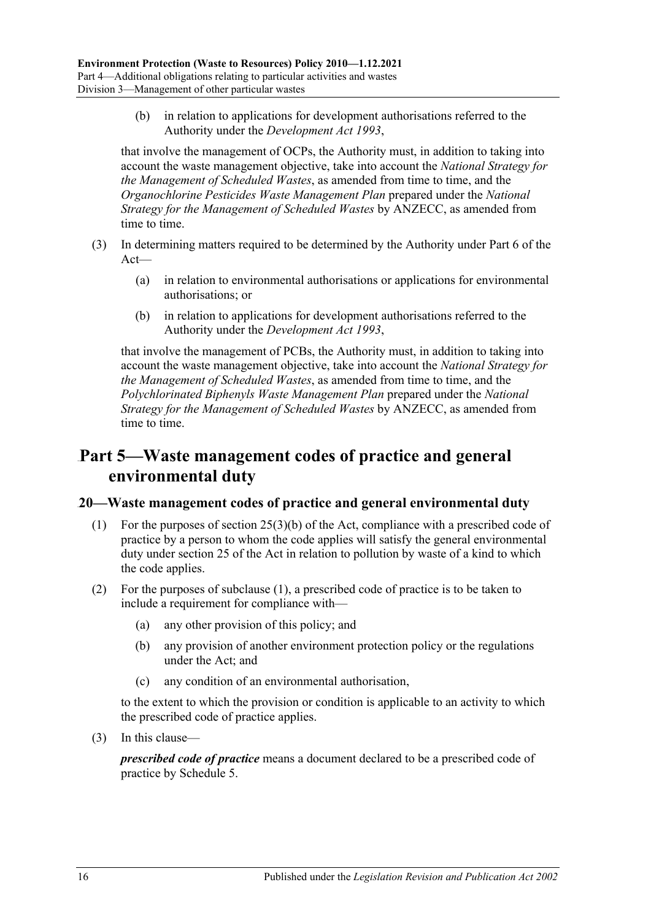(b) in relation to applications for development authorisations referred to the Authority under the *[Development Act](http://www.legislation.sa.gov.au/index.aspx?action=legref&type=act&legtitle=Development%20Act%201993) 1993*,

that involve the management of OCPs, the Authority must, in addition to taking into account the waste management objective, take into account the *National Strategy for the Management of Scheduled Wastes*, as amended from time to time, and the *Organochlorine Pesticides Waste Management Plan* prepared under the *National Strategy for the Management of Scheduled Wastes* by ANZECC, as amended from time to time.

- (3) In determining matters required to be determined by the Authority under Part 6 of the  $Act$ —
	- (a) in relation to environmental authorisations or applications for environmental authorisations; or
	- (b) in relation to applications for development authorisations referred to the Authority under the *[Development Act](http://www.legislation.sa.gov.au/index.aspx?action=legref&type=act&legtitle=Development%20Act%201993) 1993*,

that involve the management of PCBs, the Authority must, in addition to taking into account the waste management objective, take into account the *National Strategy for the Management of Scheduled Wastes*, as amended from time to time, and the *Polychlorinated Biphenyls Waste Management Plan* prepared under the *National Strategy for the Management of Scheduled Wastes* by ANZECC, as amended from time to time.

## <span id="page-15-0"></span>34B**Part 5—Waste management codes of practice and general environmental duty**

#### <span id="page-15-2"></span><span id="page-15-1"></span>8B**20—Waste management codes of practice and general environmental duty**

- (1) For the purposes of section 25(3)(b) of the Act, compliance with a prescribed code of practice by a person to whom the code applies will satisfy the general environmental duty under section 25 of the Act in relation to pollution by waste of a kind to which the code applies.
- (2) For the purposes of [subclause](#page-15-2) (1), a prescribed code of practice is to be taken to include a requirement for compliance with—
	- (a) any other provision of this policy; and
	- (b) any provision of another environment protection policy or the regulations under the Act; and
	- (c) any condition of an environmental authorisation,

to the extent to which the provision or condition is applicable to an activity to which the prescribed code of practice applies.

(3) In this clause—

*prescribed code of practice* means a document declared to be a prescribed code of practice by [Schedule 5.](#page-20-0)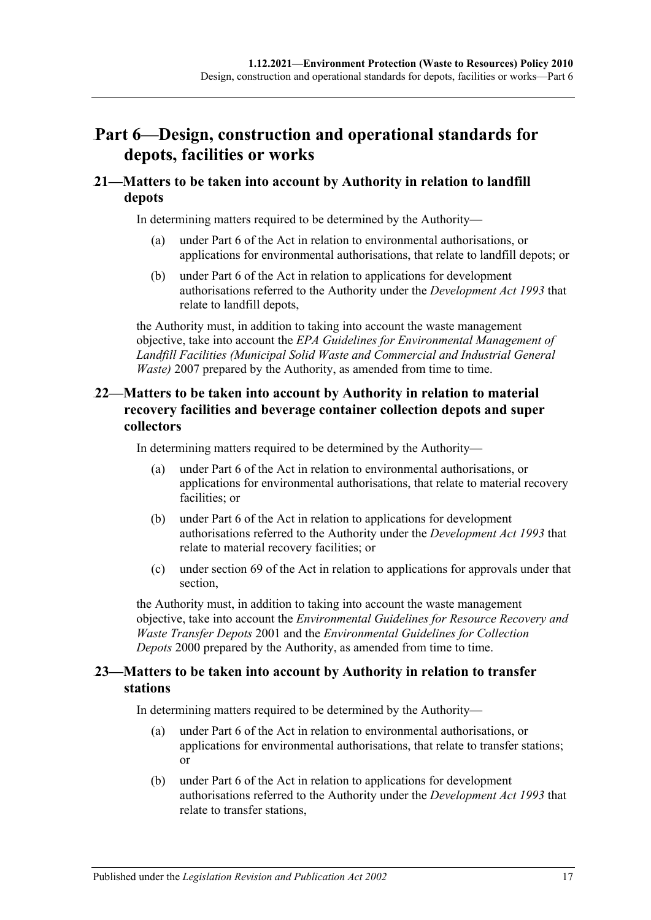## <span id="page-16-0"></span>35B**Part 6—Design, construction and operational standards for depots, facilities or works**

### <span id="page-16-1"></span>9B**21—Matters to be taken into account by Authority in relation to landfill depots**

In determining matters required to be determined by the Authority—

- (a) under Part 6 of the Act in relation to environmental authorisations, or applications for environmental authorisations, that relate to landfill depots; or
- (b) under Part 6 of the Act in relation to applications for development authorisations referred to the Authority under the *[Development Act](http://www.legislation.sa.gov.au/index.aspx?action=legref&type=act&legtitle=Development%20Act%201993) 1993* that relate to landfill depots,

the Authority must, in addition to taking into account the waste management objective, take into account the *EPA Guidelines for Environmental Management of Landfill Facilities (Municipal Solid Waste and Commercial and Industrial General Waste)* 2007 prepared by the Authority, as amended from time to time.

### <span id="page-16-2"></span>22—Matters to be taken into account by Authority in relation to material **recovery facilities and beverage container collection depots and super collectors**

In determining matters required to be determined by the Authority—

- (a) under Part 6 of the Act in relation to environmental authorisations, or applications for environmental authorisations, that relate to material recovery facilities; or
- (b) under Part 6 of the Act in relation to applications for development authorisations referred to the Authority under the *[Development Act](http://www.legislation.sa.gov.au/index.aspx?action=legref&type=act&legtitle=Development%20Act%201993) 1993* that relate to material recovery facilities; or
- (c) under section 69 of the Act in relation to applications for approvals under that section,

the Authority must, in addition to taking into account the waste management objective, take into account the *Environmental Guidelines for Resource Recovery and Waste Transfer Depots* 2001 and the *Environmental Guidelines for Collection Depots* 2000 prepared by the Authority, as amended from time to time.

### <span id="page-16-3"></span>23—Matters to be taken into account by Authority in relation to transfer **stations**

In determining matters required to be determined by the Authority—

- (a) under Part 6 of the Act in relation to environmental authorisations, or applications for environmental authorisations, that relate to transfer stations; or
- (b) under Part 6 of the Act in relation to applications for development authorisations referred to the Authority under the *[Development Act](http://www.legislation.sa.gov.au/index.aspx?action=legref&type=act&legtitle=Development%20Act%201993) 1993* that relate to transfer stations,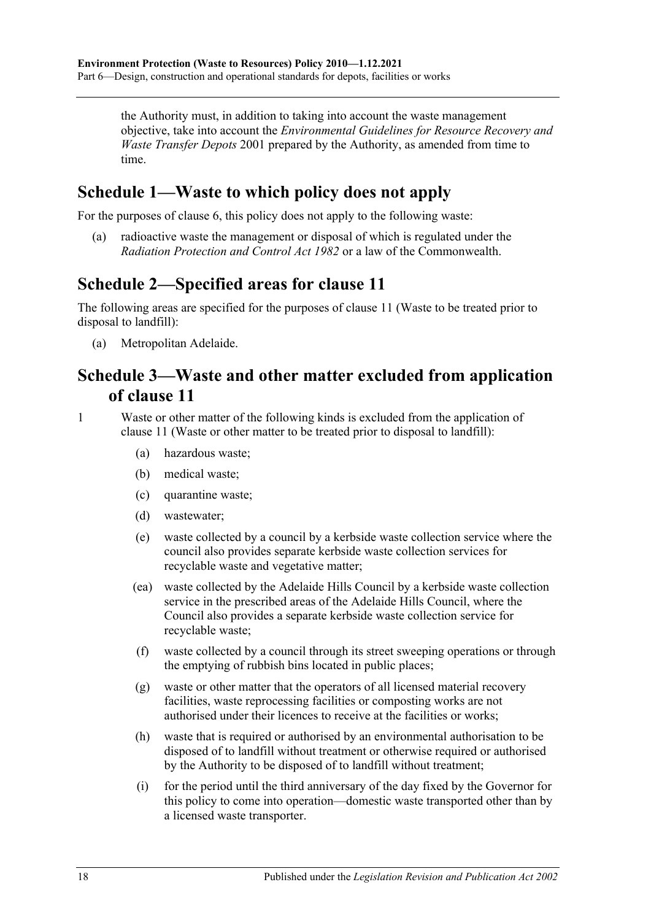the Authority must, in addition to taking into account the waste management objective, take into account the *Environmental Guidelines for Resource Recovery and Waste Transfer Depots* 2001 prepared by the Authority, as amended from time to time.

## <span id="page-17-0"></span>**Schedule 1—Waste to which policy does not apply**

For the purposes of [clause](#page-6-0) 6, this policy does not apply to the following waste:

(a) radioactive waste the management or disposal of which is regulated under the *[Radiation Protection and Control Act](http://www.legislation.sa.gov.au/index.aspx?action=legref&type=act&legtitle=Radiation%20Protection%20and%20Control%20Act%201982) 1982* or a law of the Commonwealth.

## <span id="page-17-1"></span>**Schedule 2—Specified areas for clause 11**

The following areas are specified for the purposes of clause 11 (Waste to be treated prior to disposal to landfill):

(a) Metropolitan Adelaide.

## <span id="page-17-2"></span>**Schedule 3—Waste and other matter excluded from application of clause 11**

1 Waste or other matter of the following kinds is excluded from the application of clause 11 (Waste or other matter to be treated prior to disposal to landfill):

- (a) hazardous waste;
- (b) medical waste;
- (c) quarantine waste;
- (d) wastewater;
- (e) waste collected by a council by a kerbside waste collection service where the council also provides separate kerbside waste collection services for recyclable waste and vegetative matter;
- (ea) waste collected by the Adelaide Hills Council by a kerbside waste collection service in the prescribed areas of the Adelaide Hills Council, where the Council also provides a separate kerbside waste collection service for recyclable waste;
- (f) waste collected by a council through its street sweeping operations or through the emptying of rubbish bins located in public places;
- (g) waste or other matter that the operators of all licensed material recovery facilities, waste reprocessing facilities or composting works are not authorised under their licences to receive at the facilities or works;
- (h) waste that is required or authorised by an environmental authorisation to be disposed of to landfill without treatment or otherwise required or authorised by the Authority to be disposed of to landfill without treatment;
- (i) for the period until the third anniversary of the day fixed by the Governor for this policy to come into operation—domestic waste transported other than by a licensed waste transporter.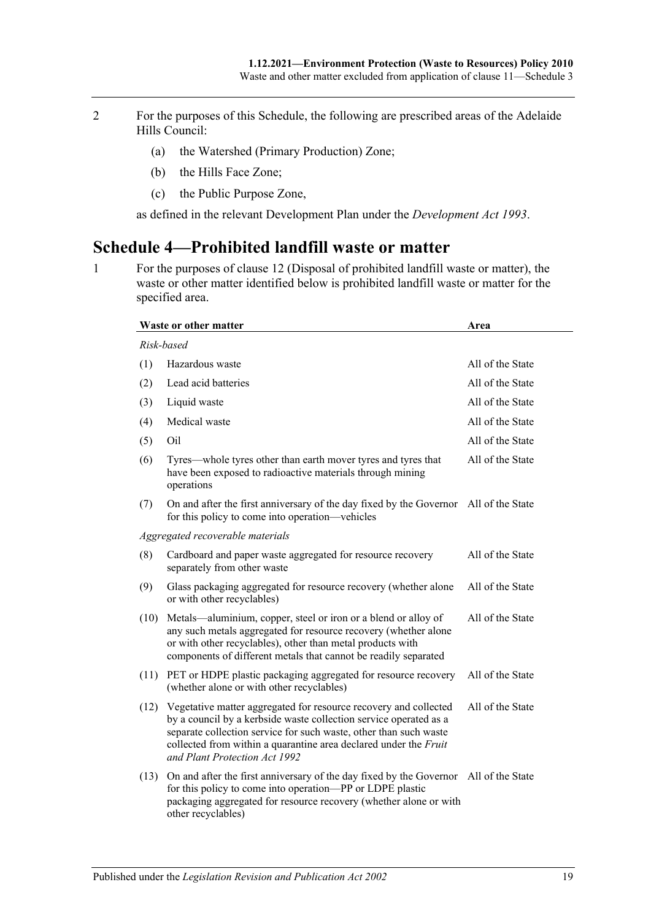- 2 For the purposes of this Schedule, the following are prescribed areas of the Adelaide Hills Council:
	- (a) the Watershed (Primary Production) Zone;
	- (b) the Hills Face Zone;
	- (c) the Public Purpose Zone,

as defined in the relevant Development Plan under the *[Development Act](http://www.legislation.sa.gov.au/index.aspx?action=legref&type=act&legtitle=Development%20Act%201993) 1993*.

## <span id="page-18-0"></span>**Schedule 4—Prohibited landfill waste or matter**

<span id="page-18-1"></span>1 For the purposes of clause 12 (Disposal of prohibited landfill waste or matter), the waste or other matter identified below is prohibited landfill waste or matter for the specified area.

|      | Waste or other matter                                                                                                                                                                                                                                                                                           | Area             |
|------|-----------------------------------------------------------------------------------------------------------------------------------------------------------------------------------------------------------------------------------------------------------------------------------------------------------------|------------------|
|      | Risk-based                                                                                                                                                                                                                                                                                                      |                  |
| (1)  | Hazardous waste                                                                                                                                                                                                                                                                                                 | All of the State |
| (2)  | Lead acid batteries                                                                                                                                                                                                                                                                                             | All of the State |
| (3)  | Liquid waste                                                                                                                                                                                                                                                                                                    | All of the State |
| (4)  | Medical waste                                                                                                                                                                                                                                                                                                   | All of the State |
| (5)  | Oil                                                                                                                                                                                                                                                                                                             | All of the State |
| (6)  | Tyres—whole tyres other than earth mover tyres and tyres that<br>have been exposed to radioactive materials through mining<br>operations                                                                                                                                                                        | All of the State |
| (7)  | On and after the first anniversary of the day fixed by the Governor All of the State<br>for this policy to come into operation—vehicles                                                                                                                                                                         |                  |
|      | Aggregated recoverable materials                                                                                                                                                                                                                                                                                |                  |
| (8)  | Cardboard and paper waste aggregated for resource recovery<br>separately from other waste                                                                                                                                                                                                                       | All of the State |
| (9)  | Glass packaging aggregated for resource recovery (whether alone<br>or with other recyclables)                                                                                                                                                                                                                   | All of the State |
| (10) | Metals—aluminium, copper, steel or iron or a blend or alloy of<br>any such metals aggregated for resource recovery (whether alone<br>or with other recyclables), other than metal products with<br>components of different metals that cannot be readily separated                                              | All of the State |
| (11) | PET or HDPE plastic packaging aggregated for resource recovery<br>(whether alone or with other recyclables)                                                                                                                                                                                                     | All of the State |
| (12) | Vegetative matter aggregated for resource recovery and collected<br>by a council by a kerbside waste collection service operated as a<br>separate collection service for such waste, other than such waste<br>collected from within a quarantine area declared under the Fruit<br>and Plant Protection Act 1992 | All of the State |
| (13) | On and after the first anniversary of the day fixed by the Governor All of the State<br>for this policy to come into operation-PP or LDPE plastic<br>packaging aggregated for resource recovery (whether alone or with<br>other recyclables)                                                                    |                  |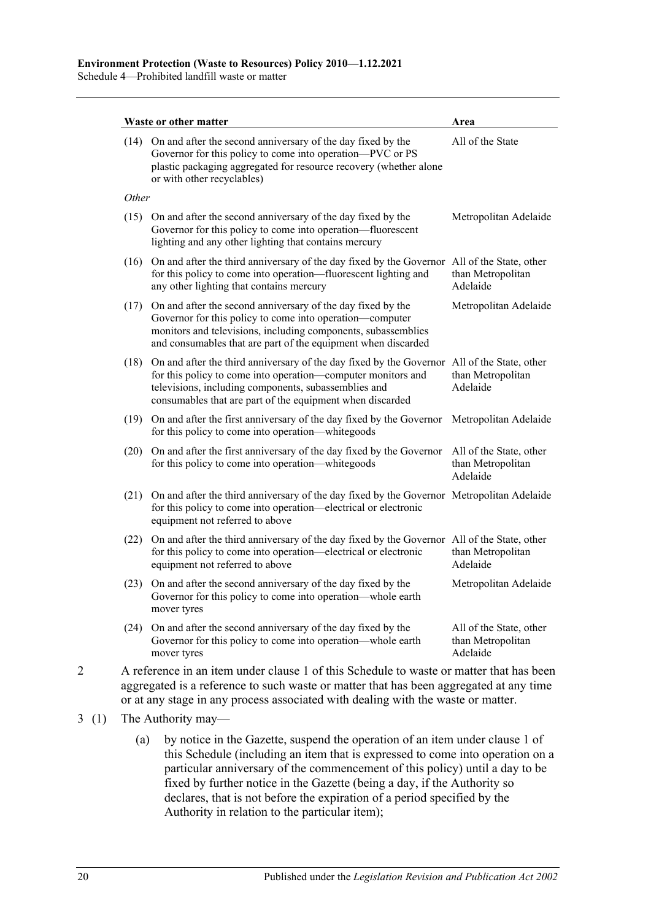Schedule 4—Prohibited landfill waste or matter

| (14) On and after the second anniversary of the day fixed by the<br>Governor for this policy to come into operation-PVC or PS<br>plastic packaging aggregated for resource recovery (whether alone<br>or with other recyclables)<br>Other                                        | All of the State                                                                                                                                                                                                                                                                                                                                                                                                        |
|----------------------------------------------------------------------------------------------------------------------------------------------------------------------------------------------------------------------------------------------------------------------------------|-------------------------------------------------------------------------------------------------------------------------------------------------------------------------------------------------------------------------------------------------------------------------------------------------------------------------------------------------------------------------------------------------------------------------|
|                                                                                                                                                                                                                                                                                  |                                                                                                                                                                                                                                                                                                                                                                                                                         |
|                                                                                                                                                                                                                                                                                  |                                                                                                                                                                                                                                                                                                                                                                                                                         |
| (15) On and after the second anniversary of the day fixed by the<br>Governor for this policy to come into operation—fluorescent<br>lighting and any other lighting that contains mercury                                                                                         | Metropolitan Adelaide                                                                                                                                                                                                                                                                                                                                                                                                   |
| for this policy to come into operation—fluorescent lighting and<br>any other lighting that contains mercury                                                                                                                                                                      | than Metropolitan<br>Adelaide                                                                                                                                                                                                                                                                                                                                                                                           |
| Governor for this policy to come into operation—computer<br>monitors and televisions, including components, subassemblies<br>and consumables that are part of the equipment when discarded                                                                                       | Metropolitan Adelaide                                                                                                                                                                                                                                                                                                                                                                                                   |
| On and after the third anniversary of the day fixed by the Governor All of the State, other<br>for this policy to come into operation-computer monitors and<br>televisions, including components, subassemblies and<br>consumables that are part of the equipment when discarded | than Metropolitan<br>Adelaide                                                                                                                                                                                                                                                                                                                                                                                           |
| for this policy to come into operation—white goods                                                                                                                                                                                                                               | Metropolitan Adelaide                                                                                                                                                                                                                                                                                                                                                                                                   |
| On and after the first anniversary of the day fixed by the Governor<br>for this policy to come into operation-whitegoods                                                                                                                                                         | All of the State, other<br>than Metropolitan<br>Adelaide                                                                                                                                                                                                                                                                                                                                                                |
| On and after the third anniversary of the day fixed by the Governor Metropolitan Adelaide<br>for this policy to come into operation—electrical or electronic<br>equipment not referred to above                                                                                  |                                                                                                                                                                                                                                                                                                                                                                                                                         |
| On and after the third anniversary of the day fixed by the Governor All of the State, other<br>for this policy to come into operation—electrical or electronic<br>equipment not referred to above                                                                                | than Metropolitan<br>Adelaide                                                                                                                                                                                                                                                                                                                                                                                           |
| On and after the second anniversary of the day fixed by the<br>Governor for this policy to come into operation—whole earth<br>mover tyres                                                                                                                                        | Metropolitan Adelaide                                                                                                                                                                                                                                                                                                                                                                                                   |
| Governor for this policy to come into operation—whole earth<br>mover tyres                                                                                                                                                                                                       | All of the State, other<br>than Metropolitan<br>Adelaide                                                                                                                                                                                                                                                                                                                                                                |
| (20)<br>(21)                                                                                                                                                                                                                                                                     | (16) On and after the third anniversary of the day fixed by the Governor All of the State, other<br>(17) On and after the second anniversary of the day fixed by the<br>(19) On and after the first anniversary of the day fixed by the Governor<br>(23)<br>(24) On and after the second anniversary of the day fixed by the<br>A reference in an item under clause 1 of this Schedule to waste or matter that has been |

aggregated is a reference to such waste or matter that has been aggregated at any time or at any stage in any process associated with dealing with the waste or matter.

- <span id="page-19-0"></span>3 (1) The Authority may—
	- (a) by notice in the Gazette, suspend the operation of an item under [clause](#page-18-1) 1 of this Schedule (including an item that is expressed to come into operation on a particular anniversary of the commencement of this policy) until a day to be fixed by further notice in the Gazette (being a day, if the Authority so declares, that is not before the expiration of a period specified by the Authority in relation to the particular item);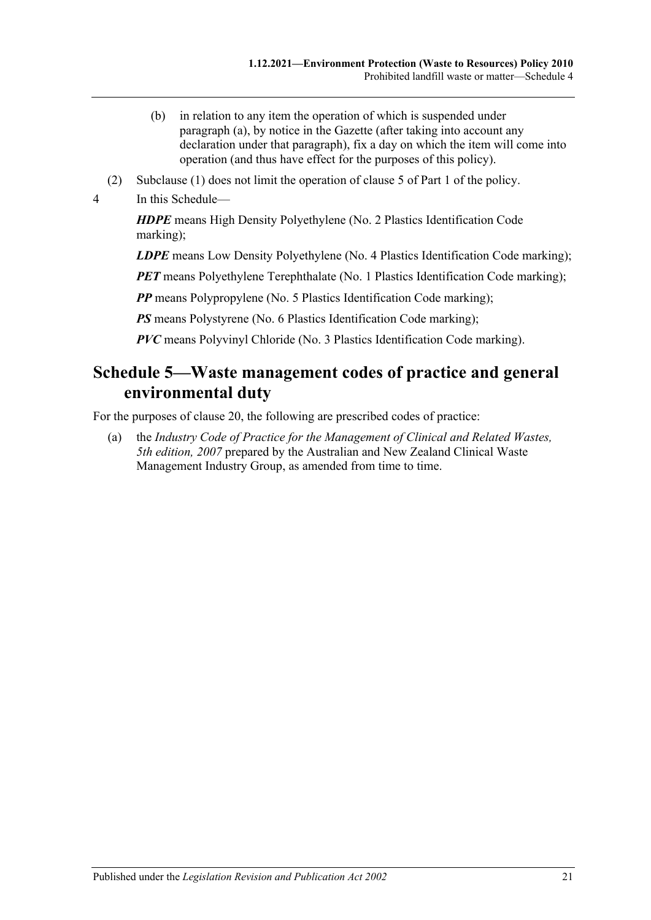- (b) in relation to any item the operation of which is suspended under [paragraph](#page-19-0) (a), by notice in the Gazette (after taking into account any declaration under that paragraph), fix a day on which the item will come into operation (and thus have effect for the purposes of this policy).
- (2) Subclause (1) does not limit the operation of [clause](#page-5-0) 5 of [Part 1](#page-1-0) of the policy.
- 4 In this Schedule—

*HDPE* means High Density Polyethylene (No. 2 Plastics Identification Code marking);

*LDPE* means Low Density Polyethylene (No. 4 Plastics Identification Code marking);

*PET* means Polyethylene Terephthalate (No. 1 Plastics Identification Code marking);

*PP* means Polypropylene (No. 5 Plastics Identification Code marking);

**PS** means Polystyrene (No. 6 Plastics Identification Code marking);

*PVC* means Polyvinyl Chloride (No. 3 Plastics Identification Code marking).

## <span id="page-20-0"></span>**Schedule 5—Waste management codes of practice and general environmental duty**

For the purposes of [clause](#page-15-1) 20, the following are prescribed codes of practice:

(a) the *Industry Code of Practice for the Management of Clinical and Related Wastes, 5th edition, 2007* prepared by the Australian and New Zealand Clinical Waste Management Industry Group, as amended from time to time.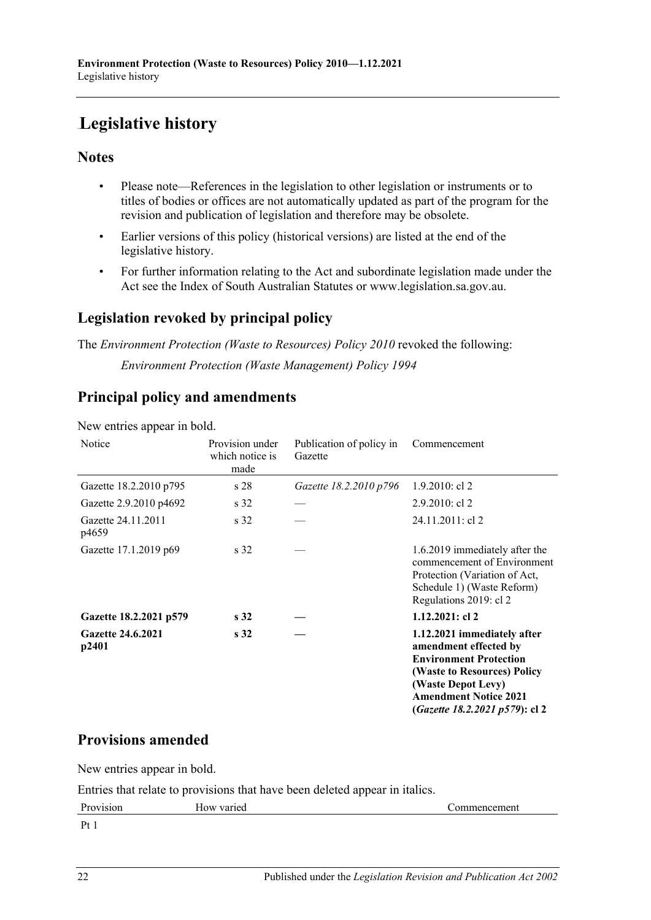# <span id="page-21-0"></span>**Legislative history**

### **Notes**

- Please note—References in the legislation to other legislation or instruments or to titles of bodies or offices are not automatically updated as part of the program for the revision and publication of legislation and therefore may be obsolete.
- Earlier versions of this policy (historical versions) are listed at the end of the legislative history.
- For further information relating to the Act and subordinate legislation made under the Act see the Index of South Australian Statutes or www.legislation.sa.gov.au.

## **Legislation revoked by principal policy**

The *Environment Protection (Waste to Resources) Policy 2010* revoked the following: *Environment Protection (Waste Management) Policy 1994*

## **Principal policy and amendments**

| Notice                            | Provision under<br>which notice is<br>made | Publication of policy in<br>Gazette | Commencement                                                                                                                                                                                                          |
|-----------------------------------|--------------------------------------------|-------------------------------------|-----------------------------------------------------------------------------------------------------------------------------------------------------------------------------------------------------------------------|
| Gazette 18.2.2010 p795            | s 28                                       | Gazette 18.2.2010 p796              | $1.9.2010$ : cl 2                                                                                                                                                                                                     |
| Gazette 2.9.2010 p4692            | s 32                                       |                                     | $2.9.2010$ : cl 2                                                                                                                                                                                                     |
| Gazette 24.11.2011<br>p4659       | s 32                                       |                                     | 24.11.2011: cl 2                                                                                                                                                                                                      |
| Gazette 17.1.2019 p69             | s <sub>32</sub>                            |                                     | 1.6.2019 immediately after the<br>commencement of Environment<br>Protection (Variation of Act,<br>Schedule 1) (Waste Reform)<br>Regulations 2019: cl 2                                                                |
| Gazette 18.2.2021 p579            | s <sub>32</sub>                            |                                     | 1.12.2021: cl 2                                                                                                                                                                                                       |
| <b>Gazette 24.6.2021</b><br>p2401 | s <sub>32</sub>                            |                                     | 1.12.2021 immediately after<br>amendment effected by<br><b>Environment Protection</b><br>(Waste to Resources) Policy<br>(Waste Depot Levy)<br><b>Amendment Notice 2021</b><br>( <i>Gazette 18.2.2021 p579</i> ): cl 2 |

New entries appear in bold.

## **Provisions amended**

New entries appear in bold.

Entries that relate to provisions that have been deleted appear in italics.

| D<br>μ, | nea<br>7Я<br>10w | $-$<br>.<br>71 F 1 C<br>1 L |
|---------|------------------|-----------------------------|
| __      |                  |                             |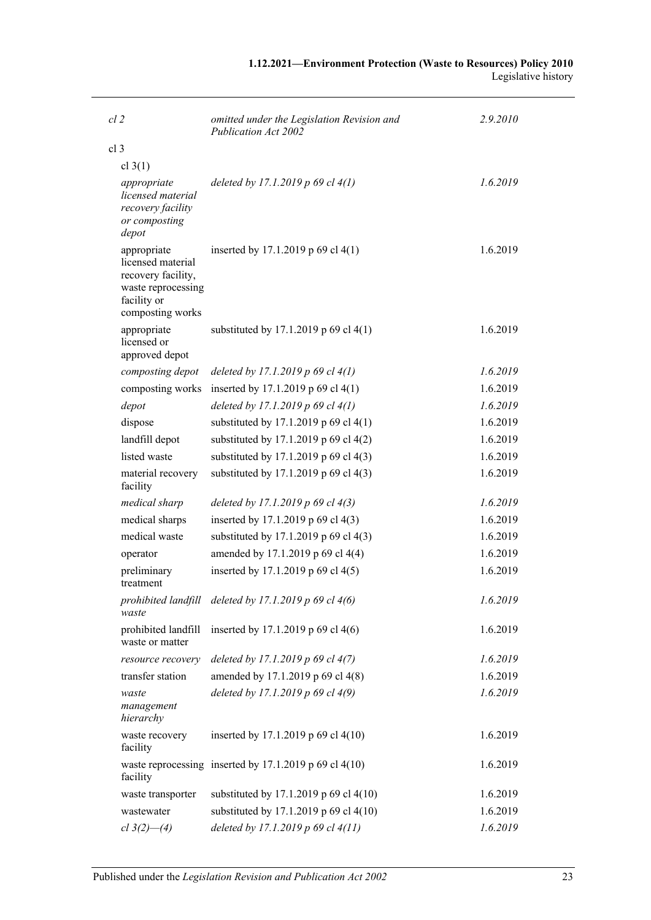| 1.12.2021—Environment Protection (Waste to Resources) Policy 2010 |                     |
|-------------------------------------------------------------------|---------------------|
|                                                                   | Legislative history |

| $cl$ 2                                                                                                          | omitted under the Legislation Revision and<br><b>Publication Act 2002</b> | 2.9.2010 |
|-----------------------------------------------------------------------------------------------------------------|---------------------------------------------------------------------------|----------|
| cl <sub>3</sub>                                                                                                 |                                                                           |          |
| cl $3(1)$                                                                                                       |                                                                           |          |
| appropriate<br>licensed material<br>recovery facility<br>or composting<br>depot                                 | deleted by 17.1.2019 p 69 cl $4(1)$                                       | 1.6.2019 |
| appropriate<br>licensed material<br>recovery facility,<br>waste reprocessing<br>facility or<br>composting works | inserted by 17.1.2019 p 69 cl $4(1)$                                      | 1.6.2019 |
| appropriate<br>licensed or<br>approved depot                                                                    | substituted by 17.1.2019 p 69 cl 4(1)                                     | 1.6.2019 |
| composting depot                                                                                                | deleted by 17.1.2019 p 69 cl $4(1)$                                       | 1.6.2019 |
| composting works                                                                                                | inserted by 17.1.2019 p 69 cl 4(1)                                        | 1.6.2019 |
| depot                                                                                                           | deleted by 17.1.2019 p 69 cl 4(1)                                         | 1.6.2019 |
| dispose                                                                                                         | substituted by 17.1.2019 p 69 cl 4(1)                                     | 1.6.2019 |
| landfill depot                                                                                                  | substituted by 17.1.2019 p 69 cl 4(2)                                     | 1.6.2019 |
| listed waste                                                                                                    | substituted by 17.1.2019 p 69 cl 4(3)                                     | 1.6.2019 |
| material recovery<br>facility                                                                                   | substituted by 17.1.2019 p 69 cl 4(3)                                     | 1.6.2019 |
| medical sharp                                                                                                   | deleted by 17.1.2019 p 69 cl $4(3)$                                       | 1.6.2019 |
| medical sharps                                                                                                  | inserted by 17.1.2019 p 69 cl 4(3)                                        | 1.6.2019 |
| medical waste                                                                                                   | substituted by 17.1.2019 p 69 cl 4(3)                                     | 1.6.2019 |
| operator                                                                                                        | amended by 17.1.2019 p 69 cl 4(4)                                         | 1.6.2019 |
| preliminary<br>treatment                                                                                        | inserted by 17.1.2019 p 69 cl 4(5)                                        | 1.6.2019 |
| prohibited landfill<br>waste                                                                                    | deleted by 17.1.2019 p 69 cl 4(6)                                         | 1.6.2019 |
| prohibited landfill<br>waste or matter                                                                          | inserted by 17.1.2019 p 69 cl 4(6)                                        | 1.6.2019 |
| resource recovery                                                                                               | deleted by 17.1.2019 p 69 cl 4(7)                                         | 1.6.2019 |
| transfer station                                                                                                | amended by 17.1.2019 p 69 cl 4(8)                                         | 1.6.2019 |
| waste<br>management<br>hierarchy                                                                                | deleted by 17.1.2019 p 69 cl 4(9)                                         | 1.6.2019 |
| waste recovery<br>facility                                                                                      | inserted by 17.1.2019 p 69 cl 4(10)                                       | 1.6.2019 |
| facility                                                                                                        | waste reprocessing inserted by $17.1.2019$ p 69 cl $4(10)$                | 1.6.2019 |
| waste transporter                                                                                               | substituted by 17.1.2019 p 69 cl 4(10)                                    | 1.6.2019 |
| wastewater                                                                                                      | substituted by 17.1.2019 p 69 cl 4(10)                                    | 1.6.2019 |
| $cl 3(2) - (4)$                                                                                                 | deleted by 17.1.2019 p 69 cl 4(11)                                        | 1.6.2019 |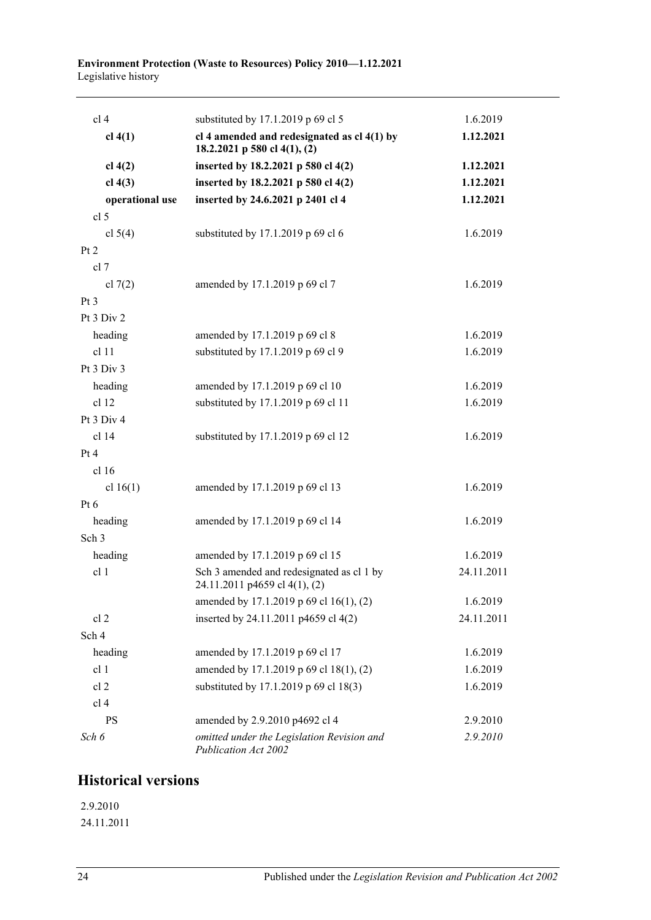#### **Environment Protection (Waste to Resources) Policy 2010—1.12.2021** Legislative history

| cl <sub>4</sub>  | substituted by 17.1.2019 p 69 cl 5                                            | 1.6.2019   |
|------------------|-------------------------------------------------------------------------------|------------|
| $cl$ 4(1)        | cl 4 amended and redesignated as $cl$ 4(1) by<br>18.2.2021 p 580 cl 4(1), (2) | 1.12.2021  |
| cl 4(2)          | inserted by 18.2.2021 p 580 cl 4(2)                                           | 1.12.2021  |
| $cl$ 4(3)        | inserted by 18.2.2021 p 580 cl 4(2)                                           | 1.12.2021  |
| operational use  | inserted by 24.6.2021 p 2401 cl 4                                             | 1.12.2021  |
| cl <sub>5</sub>  |                                                                               |            |
| cl $5(4)$        | substituted by 17.1.2019 p 69 cl 6                                            | 1.6.2019   |
| Pt 2             |                                                                               |            |
| cl 7             |                                                                               |            |
| cl $7(2)$        | amended by 17.1.2019 p 69 cl 7                                                | 1.6.2019   |
| Pt <sub>3</sub>  |                                                                               |            |
| Pt 3 Div 2       |                                                                               |            |
| heading          | amended by 17.1.2019 p 69 cl 8                                                | 1.6.2019   |
| cl 11            | substituted by 17.1.2019 p 69 cl 9                                            | 1.6.2019   |
| Pt 3 Div 3       |                                                                               |            |
| heading          | amended by 17.1.2019 p 69 cl 10                                               | 1.6.2019   |
| cl 12            | substituted by 17.1.2019 p 69 cl 11                                           | 1.6.2019   |
| Pt 3 Div 4       |                                                                               |            |
| cl 14            | substituted by 17.1.2019 p 69 cl 12                                           | 1.6.2019   |
| Pt 4             |                                                                               |            |
| cl 16            |                                                                               |            |
| cl $16(1)$       | amended by 17.1.2019 p 69 cl 13                                               | 1.6.2019   |
| Pt $6$           |                                                                               |            |
| heading          | amended by 17.1.2019 p 69 cl 14                                               | 1.6.2019   |
| Sch <sub>3</sub> |                                                                               |            |
| heading          | amended by 17.1.2019 p 69 cl 15                                               | 1.6.2019   |
| cl 1             | Sch 3 amended and redesignated as cl 1 by<br>24.11.2011 p4659 cl 4(1), (2)    | 24.11.2011 |
|                  | amended by 17.1.2019 p 69 cl 16(1), (2)                                       | 1.6.2019   |
| cl <sub>2</sub>  | inserted by 24.11.2011 p4659 cl 4(2)                                          | 24.11.2011 |
| Sch 4            |                                                                               |            |
| heading          | amended by 17.1.2019 p 69 cl 17                                               | 1.6.2019   |
| cl 1             | amended by 17.1.2019 p 69 cl 18(1), (2)                                       | 1.6.2019   |
| cl <sub>2</sub>  | substituted by 17.1.2019 p 69 cl 18(3)                                        | 1.6.2019   |
| cl <sub>4</sub>  |                                                                               |            |
| <b>PS</b>        | amended by 2.9.2010 p4692 cl 4                                                | 2.9.2010   |
| Sch 6            | omitted under the Legislation Revision and<br>Publication Act 2002            | 2.9.2010   |

## **Historical versions**

2.9.2010 24.11.2011